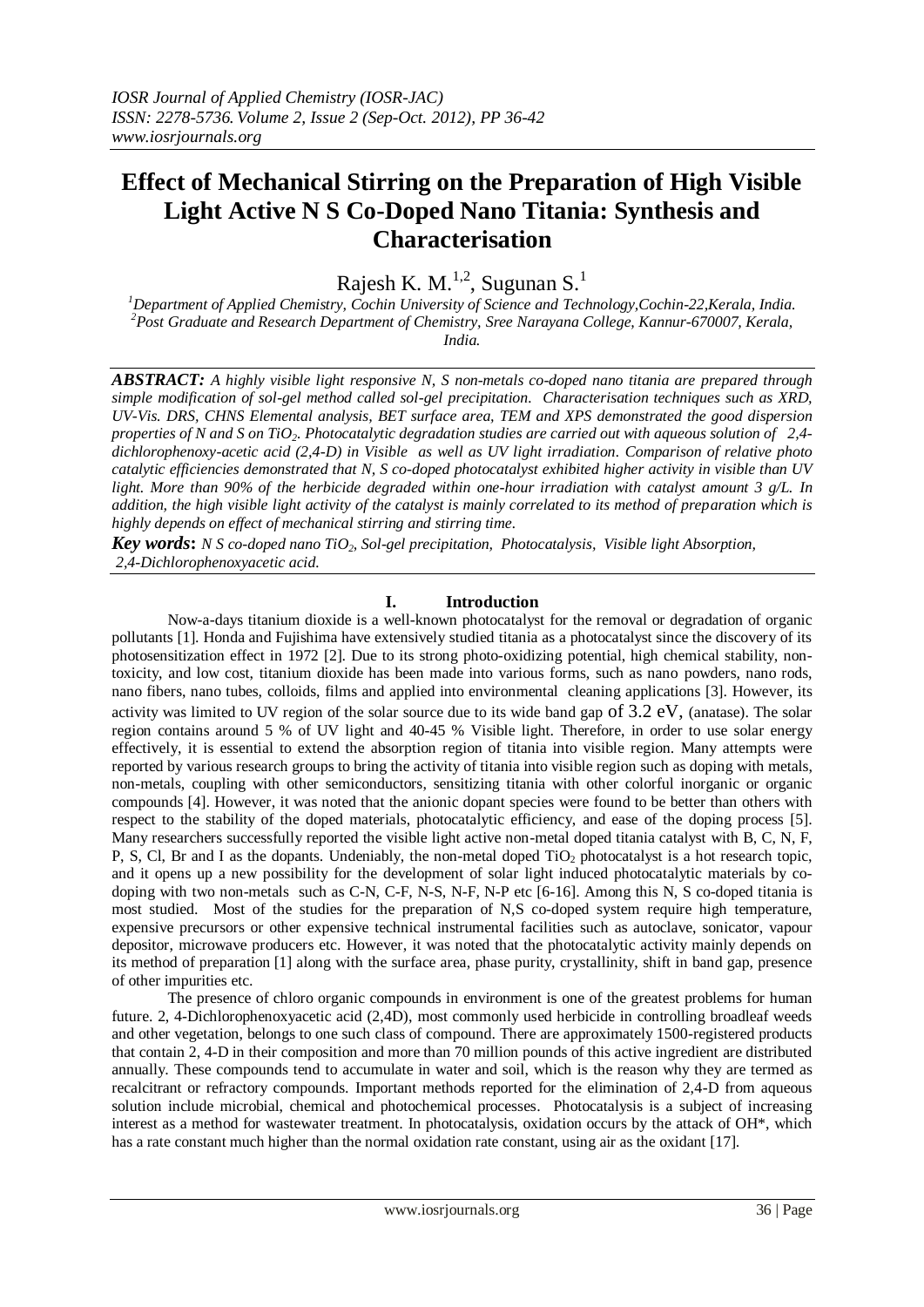# **Effect of Mechanical Stirring on the Preparation of High Visible Light Active N S Co-Doped Nano Titania: Synthesis and Characterisation**

Rajesh K. M. $^{1,2}$ , Sugunan S. $^{1}$ 

*<sup>1</sup>Department of Applied Chemistry, Cochin University of Science and Technology,Cochin-22,Kerala, India. <sup>2</sup>Post Graduate and Research Department of Chemistry, Sree Narayana College, Kannur-670007, Kerala, India.*

*ABSTRACT: A highly visible light responsive N, S non-metals co-doped nano titania are prepared through simple modification of sol-gel method called sol-gel precipitation. Characterisation techniques such as XRD, UV-Vis. DRS, CHNS Elemental analysis, BET surface area, TEM and XPS demonstrated the good dispersion properties of N and S on TiO2. Photocatalytic degradation studies are carried out with aqueous solution of 2,4 dichlorophenoxy-acetic acid (2,4-D) in Visible as well as UV light irradiation. Comparison of relative photo catalytic efficiencies demonstrated that N, S co-doped photocatalyst exhibited higher activity in visible than UV light. More than 90% of the herbicide degraded within one-hour irradiation with catalyst amount 3 g/L. In addition, the high visible light activity of the catalyst is mainly correlated to its method of preparation which is highly depends on effect of mechanical stirring and stirring time.* 

*Key words***:** *N S co-doped nano TiO2, Sol-gel precipitation, Photocatalysis, Visible light Absorption, 2,4-Dichlorophenoxyacetic acid.*

## **I. Introduction**

Now-a-days titanium dioxide is a well-known photocatalyst for the removal or degradation of organic pollutants [1]. Honda and Fujishima have extensively studied titania as a photocatalyst since the discovery of its photosensitization effect in 1972 [2]. Due to its strong photo-oxidizing potential, high chemical stability, nontoxicity, and low cost, titanium dioxide has been made into various forms, such as nano powders, nano rods, nano fibers, nano tubes, colloids, films and applied into environmental cleaning applications [3]. However, its activity was limited to UV region of the solar source due to its wide band gap of 3.2 eV, (anatase). The solar region contains around 5 % of UV light and 40-45 % Visible light. Therefore, in order to use solar energy effectively, it is essential to extend the absorption region of titania into visible region. Many attempts were reported by various research groups to bring the activity of titania into visible region such as doping with metals, non-metals, coupling with other semiconductors, sensitizing titania with other colorful inorganic or organic compounds [4]. However, it was noted that the anionic dopant species were found to be better than others with respect to the stability of the doped materials, photocatalytic efficiency, and ease of the doping process [5]. Many researchers successfully reported the visible light active non-metal doped titania catalyst with B, C, N, F, P, S, Cl, Br and I as the dopants. Undeniably, the non-metal doped  $TiO<sub>2</sub>$  photocatalyst is a hot research topic, and it opens up a new possibility for the development of solar light induced photocatalytic materials by codoping with two non-metals such as C-N, C-F, N-S, N-F, N-P etc [6-16]. Among this N, S co-doped titania is most studied. Most of the studies for the preparation of N,S co-doped system require high temperature, expensive precursors or other expensive technical instrumental facilities such as autoclave, sonicator, vapour depositor, microwave producers etc. However, it was noted that the photocatalytic activity mainly depends on its method of preparation [1] along with the surface area, phase purity, crystallinity, shift in band gap, presence of other impurities etc.

The presence of chloro organic compounds in environment is one of the greatest problems for human future. 2, 4-Dichlorophenoxyacetic acid (2,4D), most commonly used herbicide in controlling broadleaf weeds and other vegetation, belongs to one such class of compound. There are approximately 1500-registered products that contain 2, 4-D in their composition and more than 70 million pounds of this active ingredient are distributed annually. These compounds tend to accumulate in water and soil, which is the reason why they are termed as recalcitrant or refractory compounds. Important methods reported for the elimination of 2,4-D from aqueous solution include microbial, chemical and photochemical processes. Photocatalysis is a subject of increasing interest as a method for wastewater treatment. In photocatalysis, oxidation occurs by the attack of OH\*, which has a rate constant much higher than the normal oxidation rate constant, using air as the oxidant [17].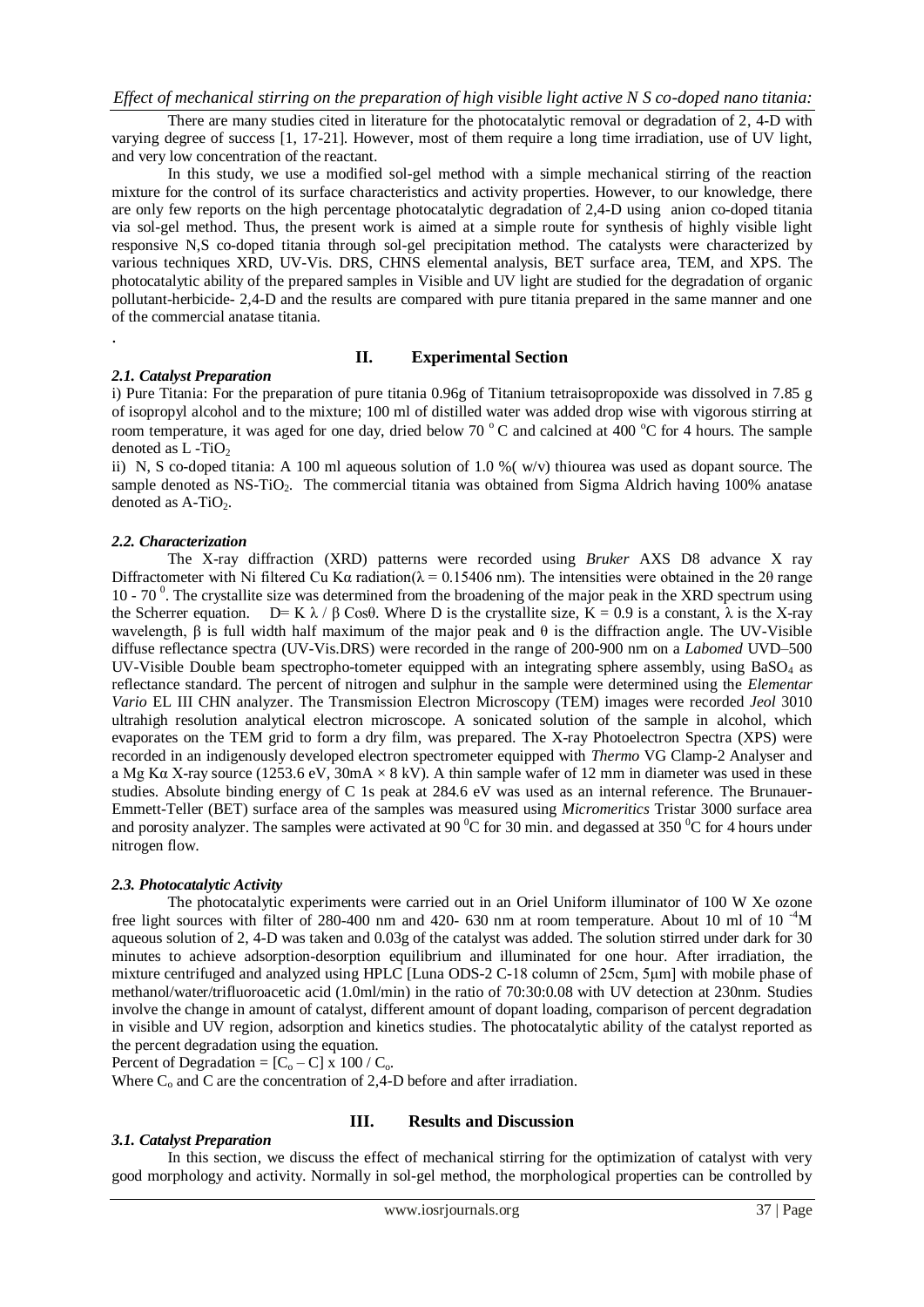There are many studies cited in literature for the photocatalytic removal or degradation of 2, 4-D with varying degree of success [1, 17-21]. However, most of them require a long time irradiation, use of UV light, and very low concentration of the reactant.

In this study, we use a modified sol-gel method with a simple mechanical stirring of the reaction mixture for the control of its surface characteristics and activity properties. However, to our knowledge, there are only few reports on the high percentage photocatalytic degradation of 2,4-D using anion co-doped titania via sol-gel method. Thus, the present work is aimed at a simple route for synthesis of highly visible light responsive N,S co-doped titania through sol-gel precipitation method. The catalysts were characterized by various techniques XRD, UV-Vis. DRS, CHNS elemental analysis, BET surface area, TEM, and XPS. The photocatalytic ability of the prepared samples in Visible and UV light are studied for the degradation of organic pollutant-herbicide- 2,4-D and the results are compared with pure titania prepared in the same manner and one of the commercial anatase titania.

#### **II. Experimental Section**

#### *2.1. Catalyst Preparation*

.

i) Pure Titania: For the preparation of pure titania 0.96g of Titanium tetraisopropoxide was dissolved in 7.85 g of isopropyl alcohol and to the mixture; 100 ml of distilled water was added drop wise with vigorous stirring at room temperature, it was aged for one day, dried below 70  $\degree$ C and calcined at 400  $\degree$ C for 4 hours. The sample denoted as  $L$  -TiO<sub>2</sub>

ii) N, S co-doped titania: A 100 ml aqueous solution of 1.0 %( w/v) thiourea was used as dopant source. The sample denoted as NS-TiO<sub>2</sub>. The commercial titania was obtained from Sigma Aldrich having 100% anatase denoted as  $A-TiO<sub>2</sub>$ .

#### *2.2. Characterization*

The X-ray diffraction (XRD) patterns were recorded using *Bruker* AXS D8 advance X ray Diffractometer with Ni filtered Cu Kα radiation( $\lambda = 0.15406$  nm). The intensities were obtained in the 20 range 10 - 70<sup>0</sup>. The crystallite size was determined from the broadening of the major peak in the XRD spectrum using the Scherrer equation.  $D= K \lambda / \beta \cos\theta$ . Where D is the crystallite size, K = 0.9 is a constant,  $\lambda$  is the X-ray wavelength, β is full width half maximum of the major peak and  $θ$  is the diffraction angle. The UV-Visible diffuse reflectance spectra (UV-Vis.DRS) were recorded in the range of 200-900 nm on a *Labomed* UVD–500 UV-Visible Double beam spectropho-tometer equipped with an integrating sphere assembly, using  $BaSO<sub>4</sub>$  as reflectance standard. The percent of nitrogen and sulphur in the sample were determined using the *Elementar Vario* EL III CHN analyzer. The Transmission Electron Microscopy (TEM) images were recorded *Jeol* 3010 ultrahigh resolution analytical electron microscope. A sonicated solution of the sample in alcohol, which evaporates on the TEM grid to form a dry film, was prepared. The X-ray Photoelectron Spectra (XPS) were recorded in an indigenously developed electron spectrometer equipped with *Thermo* VG Clamp-2 Analyser and a Mg Kα X-ray source (1253.6 eV,  $30mA \times 8 kV$ ). A thin sample wafer of 12 mm in diameter was used in these studies. Absolute binding energy of C 1s peak at 284.6 eV was used as an internal reference. The Brunauer-Emmett-Teller (BET) surface area of the samples was measured using *Micromeritics* Tristar 3000 surface area and porosity analyzer. The samples were activated at 90  $\rm{^0C}$  for 30 min. and degassed at 350  $\rm{^0C}$  for 4 hours under nitrogen flow.

#### *2.3. Photocatalytic Activity*

The photocatalytic experiments were carried out in an Oriel Uniform illuminator of 100 W Xe ozone free light sources with filter of 280-400 nm and 420- 630 nm at room temperature. About 10 ml of 10 $^{4}$ M aqueous solution of 2, 4-D was taken and 0.03g of the catalyst was added. The solution stirred under dark for 30 minutes to achieve adsorption-desorption equilibrium and illuminated for one hour. After irradiation, the mixture centrifuged and analyzed using HPLC [Luna ODS-2 C-18 column of 25cm, 5μm] with mobile phase of methanol/water/trifluoroacetic acid (1.0ml/min) in the ratio of 70:30:0.08 with UV detection at 230nm. Studies involve the change in amount of catalyst, different amount of dopant loading, comparison of percent degradation in visible and UV region, adsorption and kinetics studies. The photocatalytic ability of the catalyst reported as the percent degradation using the equation.

Percent of Degradation =  $[C_0 - C]$  x 100 /  $C_0$ .

Where  $C_0$  and C are the concentration of 2,4-D before and after irradiation.

## *3.1. Catalyst Preparation*

## **III. Results and Discussion**

In this section, we discuss the effect of mechanical stirring for the optimization of catalyst with very good morphology and activity. Normally in sol-gel method, the morphological properties can be controlled by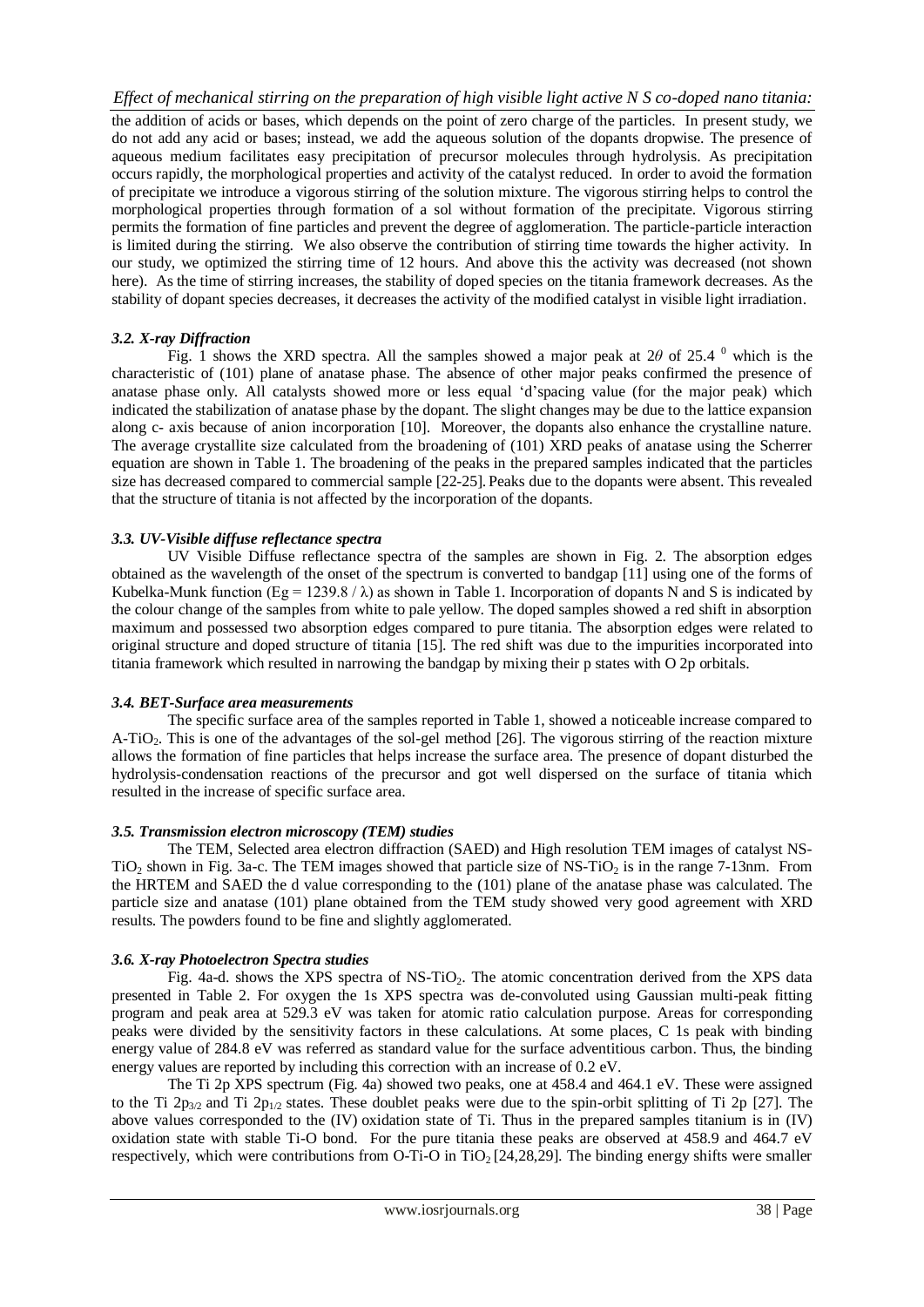the addition of acids or bases, which depends on the point of zero charge of the particles. In present study, we do not add any acid or bases; instead, we add the aqueous solution of the dopants dropwise. The presence of aqueous medium facilitates easy precipitation of precursor molecules through hydrolysis. As precipitation occurs rapidly, the morphological properties and activity of the catalyst reduced. In order to avoid the formation of precipitate we introduce a vigorous stirring of the solution mixture. The vigorous stirring helps to control the morphological properties through formation of a sol without formation of the precipitate. Vigorous stirring permits the formation of fine particles and prevent the degree of agglomeration. The particle-particle interaction is limited during the stirring. We also observe the contribution of stirring time towards the higher activity. In our study, we optimized the stirring time of 12 hours. And above this the activity was decreased (not shown here). As the time of stirring increases, the stability of doped species on the titania framework decreases. As the stability of dopant species decreases, it decreases the activity of the modified catalyst in visible light irradiation.

## *3.2. X-ray Diffraction*

Fig. 1 shows the XRD spectra. All the samples showed a major peak at  $2\theta$  of  $25.4^{\circ}$  which is the characteristic of (101) plane of anatase phase. The absence of other major peaks confirmed the presence of anatase phase only. All catalysts showed more or less equal 'd'spacing value (for the major peak) which indicated the stabilization of anatase phase by the dopant. The slight changes may be due to the lattice expansion along c- axis because of anion incorporation [10]. Moreover, the dopants also enhance the crystalline nature. The average crystallite size calculated from the broadening of (101) XRD peaks of anatase using the Scherrer equation are shown in Table 1. The broadening of the peaks in the prepared samples indicated that the particles size has decreased compared to commercial sample [22-25]. Peaks due to the dopants were absent. This revealed that the structure of titania is not affected by the incorporation of the dopants.

## *3.3. UV-Visible diffuse reflectance spectra*

UV Visible Diffuse reflectance spectra of the samples are shown in Fig. 2. The absorption edges obtained as the wavelength of the onset of the spectrum is converted to bandgap [11] using one of the forms of Kubelka-Munk function (Eg = 1239.8  $/\lambda$ ) as shown in Table 1. Incorporation of dopants N and S is indicated by the colour change of the samples from white to pale yellow. The doped samples showed a red shift in absorption maximum and possessed two absorption edges compared to pure titania. The absorption edges were related to original structure and doped structure of titania [15]. The red shift was due to the impurities incorporated into titania framework which resulted in narrowing the bandgap by mixing their p states with O 2p orbitals.

## *3.4. BET-Surface area measurements*

The specific surface area of the samples reported in Table 1, showed a noticeable increase compared to A-TiO<sub>2</sub>. This is one of the advantages of the sol-gel method [26]. The vigorous stirring of the reaction mixture allows the formation of fine particles that helps increase the surface area. The presence of dopant disturbed the hydrolysis-condensation reactions of the precursor and got well dispersed on the surface of titania which resulted in the increase of specific surface area.

## *3.5. Transmission electron microscopy (TEM) studies*

The TEM, Selected area electron diffraction (SAED) and High resolution TEM images of catalyst NS-TiO<sub>2</sub> shown in Fig. 3a-c. The TEM images showed that particle size of NS-TiO<sub>2</sub> is in the range 7-13nm. From the HRTEM and SAED the d value corresponding to the (101) plane of the anatase phase was calculated. The particle size and anatase (101) plane obtained from the TEM study showed very good agreement with XRD results. The powders found to be fine and slightly agglomerated.

## *3.6. X-ray Photoelectron Spectra studies*

Fig. 4a-d. shows the XPS spectra of NS-TiO<sub>2</sub>. The atomic concentration derived from the XPS data presented in Table 2. For oxygen the 1s XPS spectra was de-convoluted using Gaussian multi-peak fitting program and peak area at 529.3 eV was taken for atomic ratio calculation purpose. Areas for corresponding peaks were divided by the sensitivity factors in these calculations. At some places, C 1s peak with binding energy value of 284.8 eV was referred as standard value for the surface adventitious carbon. Thus, the binding energy values are reported by including this correction with an increase of 0.2 eV.

The Ti 2p XPS spectrum (Fig. 4a) showed two peaks, one at 458.4 and 464.1 eV. These were assigned to the Ti  $2p_{3/2}$  and Ti  $2p_{1/2}$  states. These doublet peaks were due to the spin-orbit splitting of Ti 2p [27]. The above values corresponded to the (IV) oxidation state of Ti. Thus in the prepared samples titanium is in (IV) oxidation state with stable Ti-O bond. For the pure titania these peaks are observed at 458.9 and 464.7 eV respectively, which were contributions from O-Ti-O in TiO<sub>2</sub> [24,28,29]. The binding energy shifts were smaller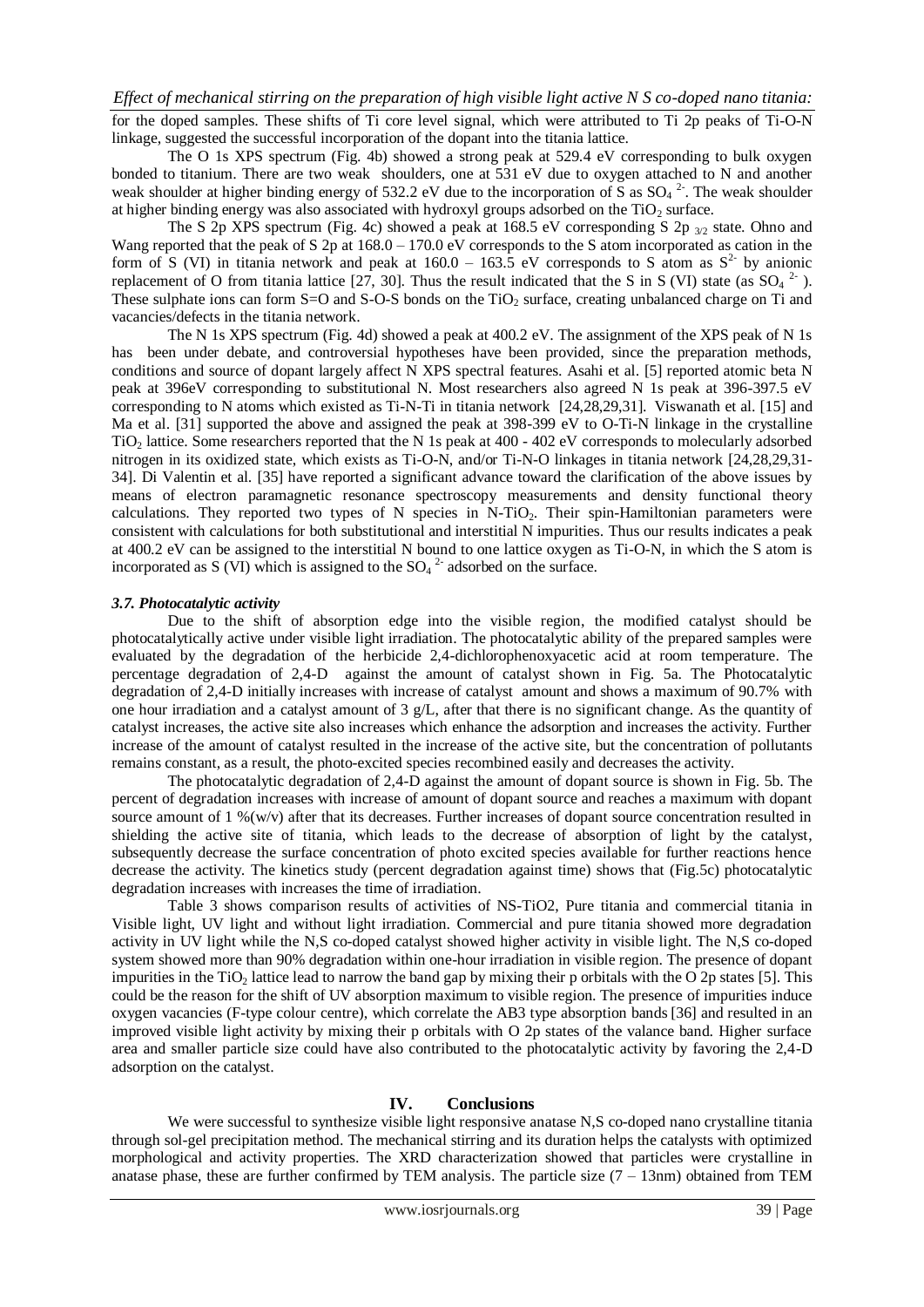for the doped samples. These shifts of Ti core level signal, which were attributed to Ti 2p peaks of Ti-O-N linkage, suggested the successful incorporation of the dopant into the titania lattice.

The O 1s XPS spectrum (Fig. 4b) showed a strong peak at 529.4 eV corresponding to bulk oxygen bonded to titanium. There are two weak shoulders, one at 531 eV due to oxygen attached to N and another weak shoulder at higher binding energy of 532.2 eV due to the incorporation of S as  $SO_4^2$ . The weak shoulder at higher binding energy was also associated with hydroxyl groups adsorbed on the  $TiO<sub>2</sub>$  surface.

The S 2p XPS spectrum (Fig. 4c) showed a peak at 168.5 eV corresponding S 2p 3/2 state. Ohno and Wang reported that the peak of S 2p at  $168.0 - 170.0$  eV corresponds to the S atom incorporated as cation in the form of S (VI) in titania network and peak at  $160.0 - 163.5$  eV corresponds to S atom as  $S<sup>2</sup>$  by anionic replacement of O from titania lattice [27, 30]. Thus the result indicated that the S in S (VI) state (as  $SO_4$ <sup>2</sup>). These sulphate ions can form  $S=O$  and  $S-O-S$  bonds on the TiO<sub>2</sub> surface, creating unbalanced charge on Ti and vacancies/defects in the titania network.

The N 1s XPS spectrum (Fig. 4d) showed a peak at 400.2 eV. The assignment of the XPS peak of N 1s has been under debate, and controversial hypotheses have been provided, since the preparation methods, conditions and source of dopant largely affect N XPS spectral features. Asahi et al. [5] reported atomic beta N peak at 396eV corresponding to substitutional N. Most researchers also agreed N 1s peak at 396-397.5 eV corresponding to N atoms which existed as Ti-N-Ti in titania network [24,28,29,31]. Viswanath et al. [15] and Ma et al. [31] supported the above and assigned the peak at 398-399 eV to O-Ti-N linkage in the crystalline TiO<sup>2</sup> lattice. Some researchers reported that the N 1s peak at 400 - 402 eV corresponds to molecularly adsorbed nitrogen in its oxidized state, which exists as Ti-O-N, and/or Ti-N-O linkages in titania network [24,28,29,31- 34]. Di Valentin et al. [35] have reported a significant advance toward the clarification of the above issues by means of electron paramagnetic resonance spectroscopy measurements and density functional theory calculations. They reported two types of N species in N-TiO<sub>2</sub>. Their spin-Hamiltonian parameters were consistent with calculations for both substitutional and interstitial N impurities. Thus our results indicates a peak at 400.2 eV can be assigned to the interstitial N bound to one lattice oxygen as Ti-O-N, in which the S atom is incorporated as S (VI) which is assigned to the  $SO_4^2$  adsorbed on the surface.

#### *3.7. Photocatalytic activity*

Due to the shift of absorption edge into the visible region, the modified catalyst should be photocatalytically active under visible light irradiation. The photocatalytic ability of the prepared samples were evaluated by the degradation of the herbicide 2,4-dichlorophenoxyacetic acid at room temperature. The percentage degradation of 2,4-D against the amount of catalyst shown in Fig. 5a. The Photocatalytic degradation of 2,4-D initially increases with increase of catalyst amount and shows a maximum of 90.7% with one hour irradiation and a catalyst amount of 3 g/L, after that there is no significant change. As the quantity of catalyst increases, the active site also increases which enhance the adsorption and increases the activity. Further increase of the amount of catalyst resulted in the increase of the active site, but the concentration of pollutants remains constant, as a result, the photo-excited species recombined easily and decreases the activity.

The photocatalytic degradation of 2,4-D against the amount of dopant source is shown in Fig. 5b. The percent of degradation increases with increase of amount of dopant source and reaches a maximum with dopant source amount of 1 %(w/v) after that its decreases. Further increases of dopant source concentration resulted in shielding the active site of titania, which leads to the decrease of absorption of light by the catalyst, subsequently decrease the surface concentration of photo excited species available for further reactions hence decrease the activity. The kinetics study (percent degradation against time) shows that (Fig.5c) photocatalytic degradation increases with increases the time of irradiation.

Table 3 shows comparison results of activities of NS-TiO2, Pure titania and commercial titania in Visible light, UV light and without light irradiation. Commercial and pure titania showed more degradation activity in UV light while the N,S co-doped catalyst showed higher activity in visible light. The N,S co-doped system showed more than 90% degradation within one-hour irradiation in visible region. The presence of dopant impurities in the TiO<sub>2</sub> lattice lead to narrow the band gap by mixing their p orbitals with the O 2p states [5]. This could be the reason for the shift of UV absorption maximum to visible region. The presence of impurities induce oxygen vacancies (F-type colour centre), which correlate the AB3 type absorption bands [36] and resulted in an improved visible light activity by mixing their p orbitals with O 2p states of the valance band. Higher surface area and smaller particle size could have also contributed to the photocatalytic activity by favoring the 2,4-D adsorption on the catalyst.

#### **IV. Conclusions**

We were successful to synthesize visible light responsive anatase N,S co-doped nano crystalline titania through sol-gel precipitation method. The mechanical stirring and its duration helps the catalysts with optimized morphological and activity properties. The XRD characterization showed that particles were crystalline in anatase phase, these are further confirmed by TEM analysis. The particle size  $(7 - 13$ nm) obtained from TEM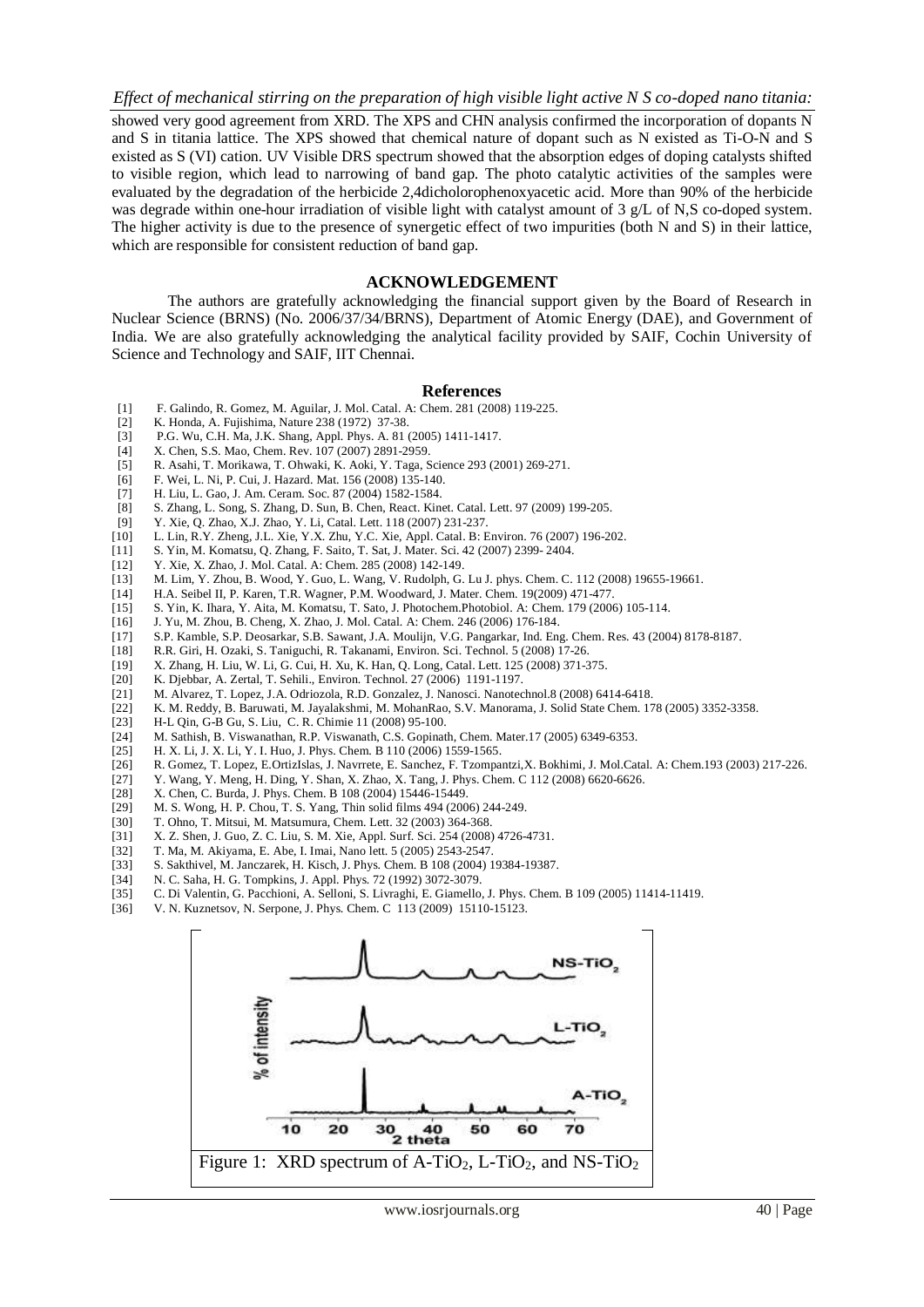showed very good agreement from XRD. The XPS and CHN analysis confirmed the incorporation of dopants N and S in titania lattice. The XPS showed that chemical nature of dopant such as N existed as Ti-O-N and S existed as S (VI) cation. UV Visible DRS spectrum showed that the absorption edges of doping catalysts shifted to visible region, which lead to narrowing of band gap. The photo catalytic activities of the samples were evaluated by the degradation of the herbicide 2,4dicholorophenoxyacetic acid. More than 90% of the herbicide was degrade within one-hour irradiation of visible light with catalyst amount of 3 g/L of N,S co-doped system. The higher activity is due to the presence of synergetic effect of two impurities (both N and S) in their lattice, which are responsible for consistent reduction of band gap.

#### **ACKNOWLEDGEMENT**

The authors are gratefully acknowledging the financial support given by the Board of Research in Nuclear Science (BRNS) (No. 2006/37/34/BRNS), Department of Atomic Energy (DAE), and Government of India. We are also gratefully acknowledging the analytical facility provided by SAIF, Cochin University of Science and Technology and SAIF, IIT Chennai.

#### **References**

- [1] F. Galindo, R. Gomez, M. Aguilar, J. Mol. Catal. A: Chem. 281 (2008) 119-225.
- [2] K. Honda, A. Fujishima, Nature 238 (1972) 37-38.
- [3] P.G. Wu, C.H. Ma, J.K. Shang, Appl. Phys. A. 81 (2005) 1411-1417.
- [4] X. Chen, S.S. Mao, Chem. Rev. 107 (2007) 2891-2959.<br>[5] R. Asahi, T. Morikawa, T. Ohwaki, K. Aoki, Y. Taga, S.
- [5] R. Asahi, T. Morikawa, T. Ohwaki, K. Aoki, Y. Taga, Science 293 (2001) 269-271.
- [6] F. Wei, L. Ni, P. Cui, J. Hazard. Mat. 156 (2008) 135-140.
- [7] H. Liu, L. Gao, J. Am. Ceram. Soc. 87 (2004) 1582-1584.
- [8] S. Zhang, L. Song, S. Zhang, D. Sun, B. Chen, React. Kinet. Catal. Lett. 97 (2009) 199-205.<br>
[9] Y. Xie. O. Zhao. X.J. Zhao. Y. Li. Catal. Lett. 118 (2007) 231-237.
- [9] Y. Xie, Q. Zhao, X.J. Zhao, Y. Li, Catal. Lett. 118 (2007) 231-237.
- [10] L. Lin, R.Y. Zheng, J.L. Xie, Y.X. Zhu, Y.C. Xie, Appl. Catal. B: Environ. 76 (2007) 196-202.
- [11] S. Yin, M. Komatsu, Q. Zhang, F. Saito, T. Sat, J. Mater. Sci. 42 (2007) 2399- 2404.
- [12] Y. Xie, X. Zhao, J. Mol. Catal. A: Chem. 285 (2008) 142-149.
- [13] M. Lim, Y. Zhou, B. Wood, Y. Guo, L. Wang, V. Rudolph, G. Lu J. phys. Chem. C. 112 (2008) 19655-19661.
- [14] H.A. Seibel II, P. Karen, T.R. Wagner, P.M. Woodward, J. Mater. Chem. 19(2009) 471-477.
- [15] S. Yin, K. Ihara, Y. Aita, M. Komatsu, T. Sato, J. Photochem.Photobiol. A: Chem. 179 (2006) 105-114.
- [16] J. Yu, M. Zhou, B. Cheng, X. Zhao, J. Mol. Catal. A: Chem. 246 (2006) 176-184.
- [17] S.P. Kamble, S.P. Deosarkar, S.B. Sawant, J.A. Moulijn, V.G. Pangarkar, Ind. Eng. Chem. Res. 43 (2004) 8178-8187.
- [18] R.R. Giri, H. Ozaki, S. Taniguchi, R. Takanami, Environ. Sci. Technol. 5 (2008) 17-26.
- [19] X. Zhang, H. Liu, W. Li, G. Cui, H. Xu, K. Han, Q. Long, Catal. Lett. 125 (2008) 371-375.
- K. Djebbar, A. Zertal, T. Sehili., Environ. Technol. 27 (2006) 1191-1197.
- [21] M. Alvarez, T. Lopez, J.A. Odriozola, R.D. Gonzalez, J. Nanosci. Nanotechnol.8 (2008) 6414-6418.
- [22] K. M. Reddy, B. Baruwati, M. Jayalakshmi, M. MohanRao, S.V. Manorama, J. Solid State Chem. 178 (2005) 3352-3358.
- [23] H-L Qin, G-B Gu, S. Liu, C. R. Chimie 11 (2008) 95-100.
- [24] M. Sathish, B. Viswanathan, R.P. Viswanath, C.S. Gopinath, Chem. Mater.17 (2005) 6349-6353.
- H. X. Li, J. X. Li, Y. I. Huo, J. Phys. Chem. B 110 (2006) 1559-1565.
- [26] R. Gomez, T. Lopez, E.OrtizIslas, J. Navrrete, E. Sanchez, F. Tzompantzi, X. Bokhimi, J. Mol.Catal. A: Chem.193 (2003) 217-226.<br>[27] Y. Wang, Y. Meng, H. Ding, Y. Shan, X. Zhao, X. Tang, J. Phys. Chem. C 112 (2008) 66
- [27] Y. Wang, Y. Meng, H. Ding, Y. Shan, X. Zhao, X. Tang, J. Phys. Chem. C 112 (2008) 6620-6626.
- X. Chen, C. Burda, J. Phys. Chem. B 108 (2004) 15446-15449.
- [29] M. S. Wong, H. P. Chou, T. S. Yang, Thin solid films 494 (2006) 244-249.
- [30] T. Ohno, T. Mitsui, M. Matsumura, Chem. Lett. 32 (2003) 364-368.
- [31] X. Z. Shen, J. Guo, Z. C. Liu, S. M. Xie, Appl. Surf. Sci. 254 (2008) 4726-4731.
- [32] T. Ma, M. Akiyama, E. Abe, I. Imai, Nano lett. 5 (2005) 2543-2547.
- [33] S. Sakthivel, M. Janczarek, H. Kisch, J. Phys. Chem. B 108 (2004) 19384-19387.<br>[34] N. C. Saha, H. G. Tompkins, J. Appl. Phys. 72 (1992) 3072-3079.
- 
- [34] N. C. Saha, H. G. Tompkins, J. Appl. Phys. 72 (1992) 3072-3079. [35] C. Di Valentin, G. Pacchioni, A. Selloni, S. Livraghi, E. Giamello, J. Phys. Chem. B 109 (2005) 11414-11419.
- [36] V. N. Kuznetsov, N. Serpone, J. Phys. Chem. C 113 (2009) 15110-15123.

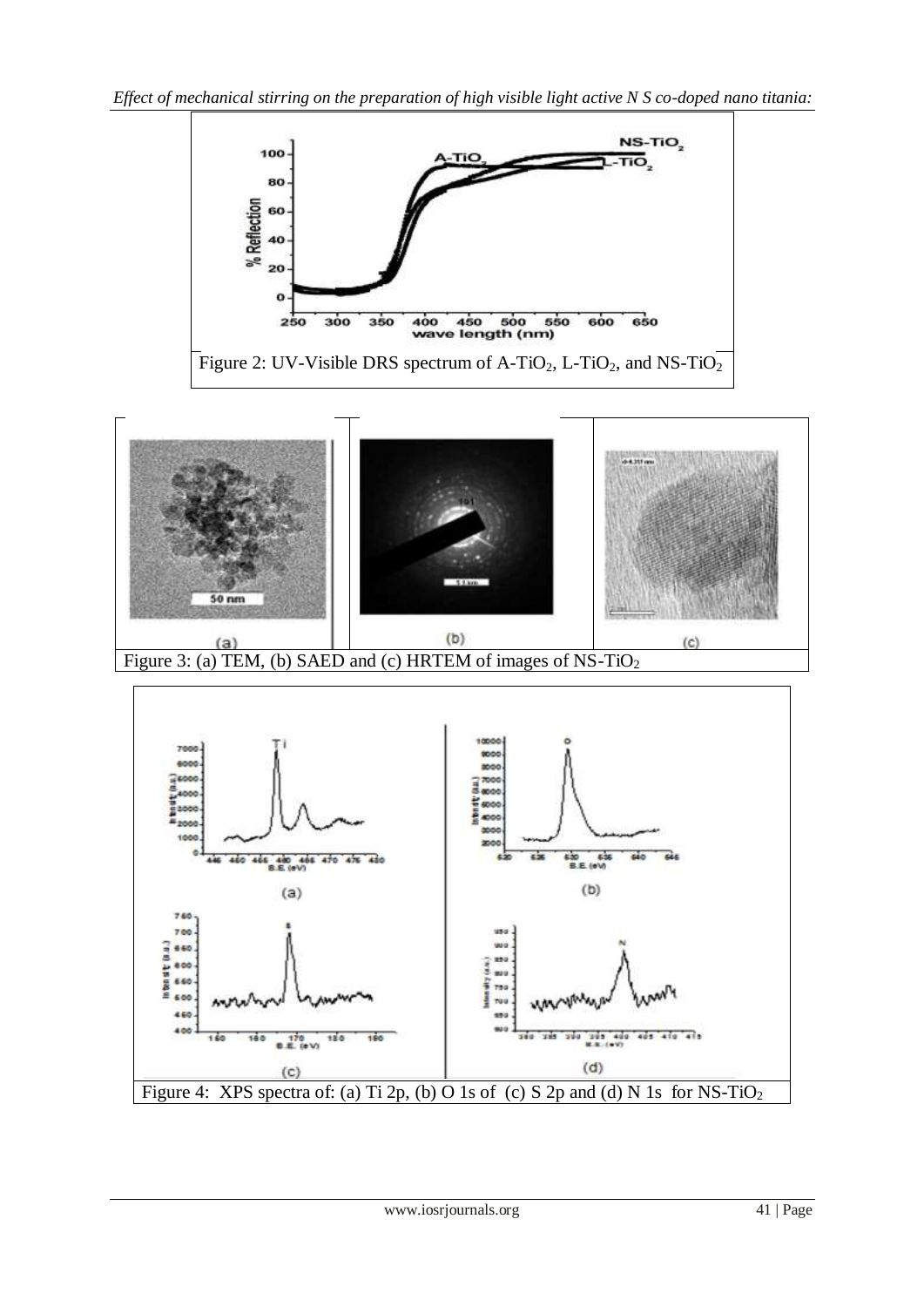